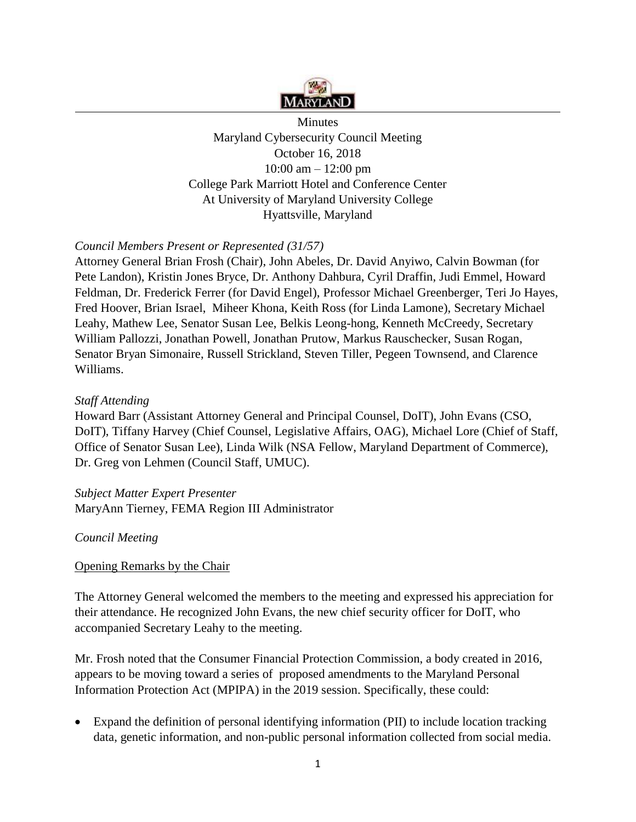

**Minutes** Maryland Cybersecurity Council Meeting October 16, 2018 10:00 am – 12:00 pm College Park Marriott Hotel and Conference Center At University of Maryland University College Hyattsville, Maryland

# *Council Members Present or Represented (31/57)*

Attorney General Brian Frosh (Chair), John Abeles, Dr. David Anyiwo, Calvin Bowman (for Pete Landon), Kristin Jones Bryce, Dr. Anthony Dahbura, Cyril Draffin, Judi Emmel, Howard Feldman, Dr. Frederick Ferrer (for David Engel), Professor Michael Greenberger, Teri Jo Hayes, Fred Hoover, Brian Israel, Miheer Khona, Keith Ross (for Linda Lamone), Secretary Michael Leahy, Mathew Lee, Senator Susan Lee, Belkis Leong-hong, Kenneth McCreedy, Secretary William Pallozzi, Jonathan Powell, Jonathan Prutow, Markus Rauschecker, Susan Rogan, Senator Bryan Simonaire, Russell Strickland, Steven Tiller, Pegeen Townsend, and Clarence Williams.

## *Staff Attending*

Howard Barr (Assistant Attorney General and Principal Counsel, DoIT), John Evans (CSO, DoIT), Tiffany Harvey (Chief Counsel, Legislative Affairs, OAG), Michael Lore (Chief of Staff, Office of Senator Susan Lee), Linda Wilk (NSA Fellow, Maryland Department of Commerce), Dr. Greg von Lehmen (Council Staff, UMUC).

*Subject Matter Expert Presenter*  MaryAnn Tierney, FEMA Region III Administrator

## *Council Meeting*

#### Opening Remarks by the Chair

The Attorney General welcomed the members to the meeting and expressed his appreciation for their attendance. He recognized John Evans, the new chief security officer for DoIT, who accompanied Secretary Leahy to the meeting.

Mr. Frosh noted that the Consumer Financial Protection Commission, a body created in 2016, appears to be moving toward a series of proposed amendments to the Maryland Personal Information Protection Act (MPIPA) in the 2019 session. Specifically, these could:

Expand the definition of personal identifying information (PII) to include location tracking data, genetic information, and non-public personal information collected from social media.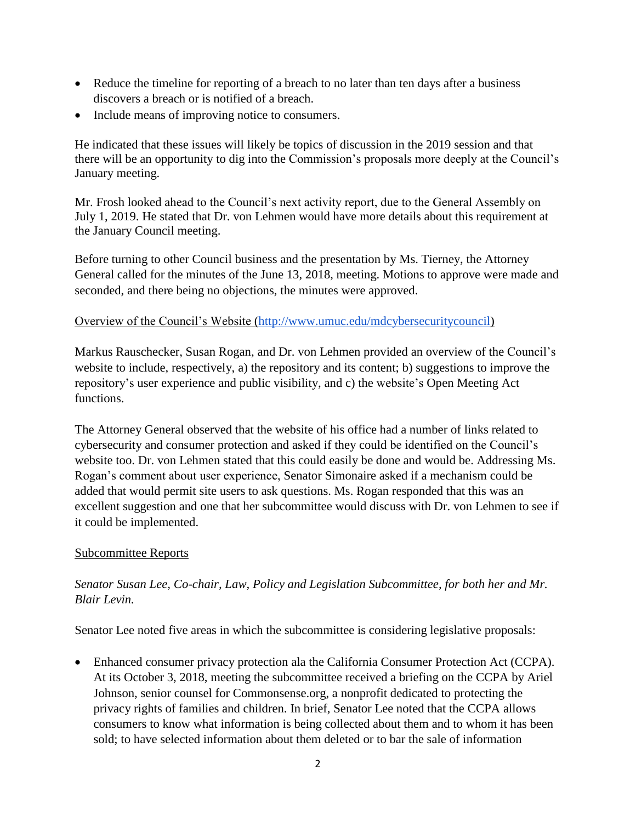- Reduce the timeline for reporting of a breach to no later than ten days after a business discovers a breach or is notified of a breach.
- Include means of improving notice to consumers.

He indicated that these issues will likely be topics of discussion in the 2019 session and that there will be an opportunity to dig into the Commission's proposals more deeply at the Council's January meeting.

Mr. Frosh looked ahead to the Council's next activity report, due to the General Assembly on July 1, 2019. He stated that Dr. von Lehmen would have more details about this requirement at the January Council meeting.

Before turning to other Council business and the presentation by Ms. Tierney, the Attorney General called for the minutes of the June 13, 2018, meeting. Motions to approve were made and seconded, and there being no objections, the minutes were approved.

### Overview of the Council's Website [\(http://www.umuc.edu/mdcybersecuritycouncil\)](http://www.umuc.edu/mdcybersecuritycouncil)

Markus Rauschecker, Susan Rogan, and Dr. von Lehmen provided an overview of the Council's website to include, respectively, a) the repository and its content; b) suggestions to improve the repository's user experience and public visibility, and c) the website's Open Meeting Act functions.

The Attorney General observed that the website of his office had a number of links related to cybersecurity and consumer protection and asked if they could be identified on the Council's website too. Dr. von Lehmen stated that this could easily be done and would be. Addressing Ms. Rogan's comment about user experience, Senator Simonaire asked if a mechanism could be added that would permit site users to ask questions. Ms. Rogan responded that this was an excellent suggestion and one that her subcommittee would discuss with Dr. von Lehmen to see if it could be implemented.

## Subcommittee Reports

# *Senator Susan Lee, Co-chair, Law, Policy and Legislation Subcommittee, for both her and Mr. Blair Levin.*

Senator Lee noted five areas in which the subcommittee is considering legislative proposals:

• Enhanced consumer privacy protection ala the California Consumer Protection Act (CCPA). At its October 3, 2018, meeting the subcommittee received a briefing on the CCPA by Ariel Johnson, senior counsel for Commonsense.org, a nonprofit dedicated to protecting the privacy rights of families and children. In brief, Senator Lee noted that the CCPA allows consumers to know what information is being collected about them and to whom it has been sold; to have selected information about them deleted or to bar the sale of information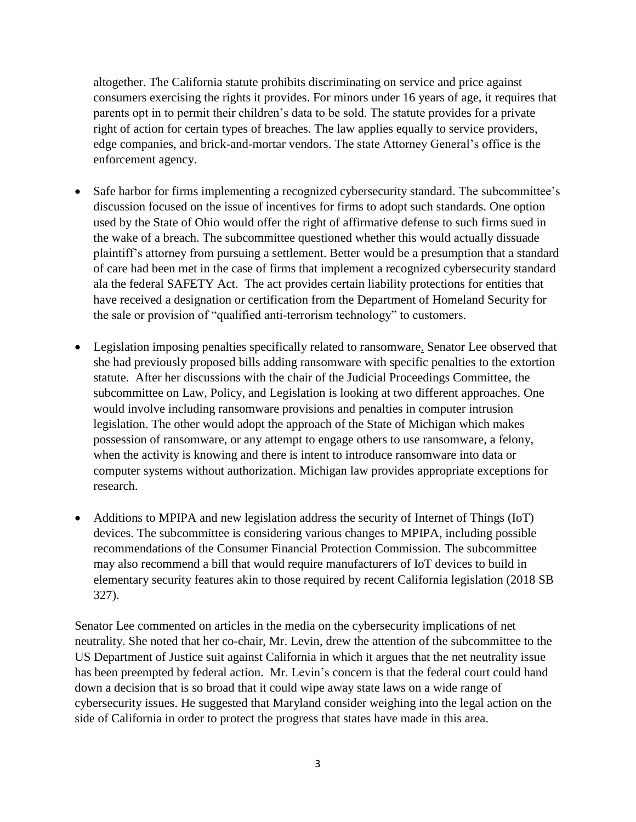altogether. The California statute prohibits discriminating on service and price against consumers exercising the rights it provides. For minors under 16 years of age, it requires that parents opt in to permit their children's data to be sold. The statute provides for a private right of action for certain types of breaches. The law applies equally to service providers, edge companies, and brick-and-mortar vendors. The state Attorney General's office is the enforcement agency.

- Safe harbor for firms implementing a recognized cybersecurity standard. The subcommittee's discussion focused on the issue of incentives for firms to adopt such standards. One option used by the State of Ohio would offer the right of affirmative defense to such firms sued in the wake of a breach. The subcommittee questioned whether this would actually dissuade plaintiff's attorney from pursuing a settlement. Better would be a presumption that a standard of care had been met in the case of firms that implement a recognized cybersecurity standard ala the federal SAFETY Act. The act provides certain liability protections for entities that have received a designation or certification from the Department of Homeland Security for the sale or provision of "qualified anti-terrorism technology" to customers.
- Legislation imposing penalties specifically related to ransomware. Senator Lee observed that she had previously proposed bills adding ransomware with specific penalties to the extortion statute. After her discussions with the chair of the Judicial Proceedings Committee, the subcommittee on Law, Policy, and Legislation is looking at two different approaches. One would involve including ransomware provisions and penalties in computer intrusion legislation. The other would adopt the approach of the State of Michigan which makes possession of ransomware, or any attempt to engage others to use ransomware, a felony, when the activity is knowing and there is intent to introduce ransomware into data or computer systems without authorization. Michigan law provides appropriate exceptions for research.
- Additions to MPIPA and new legislation address the security of Internet of Things (IoT) devices. The subcommittee is considering various changes to MPIPA, including possible recommendations of the Consumer Financial Protection Commission. The subcommittee may also recommend a bill that would require manufacturers of IoT devices to build in elementary security features akin to those required by recent California legislation (2018 SB 327).

Senator Lee commented on articles in the media on the cybersecurity implications of net neutrality. She noted that her co-chair, Mr. Levin, drew the attention of the subcommittee to the US Department of Justice suit against California in which it argues that the net neutrality issue has been preempted by federal action. Mr. Levin's concern is that the federal court could hand down a decision that is so broad that it could wipe away state laws on a wide range of cybersecurity issues. He suggested that Maryland consider weighing into the legal action on the side of California in order to protect the progress that states have made in this area.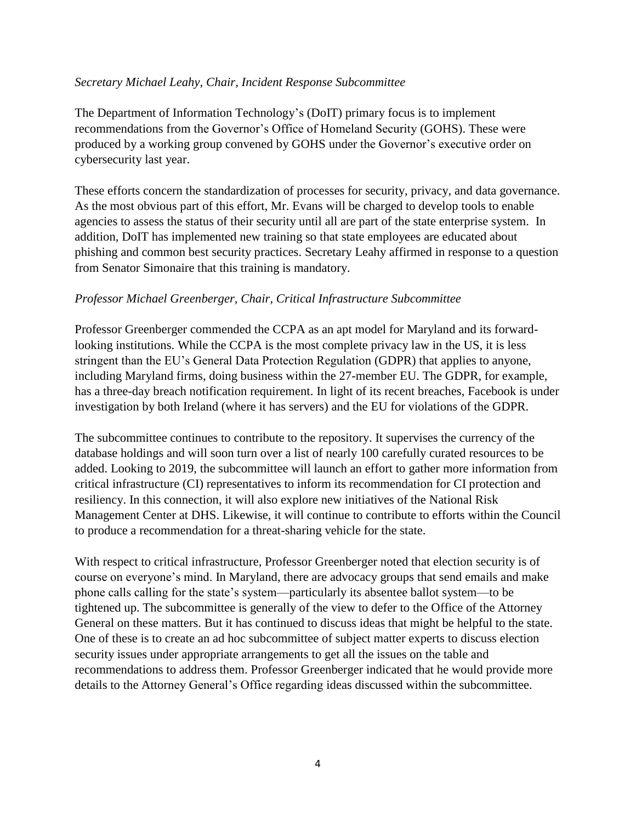### *Secretary Michael Leahy, Chair, Incident Response Subcommittee*

The Department of Information Technology's (DoIT) primary focus is to implement recommendations from the Governor's Office of Homeland Security (GOHS). These were produced by a working group convened by GOHS under the Governor's executive order on cybersecurity last year.

These efforts concern the standardization of processes for security, privacy, and data governance. As the most obvious part of this effort, Mr. Evans will be charged to develop tools to enable agencies to assess the status of their security until all are part of the state enterprise system. In addition, DoIT has implemented new training so that state employees are educated about phishing and common best security practices. Secretary Leahy affirmed in response to a question from Senator Simonaire that this training is mandatory.

### *Professor Michael Greenberger, Chair, Critical Infrastructure Subcommittee*

Professor Greenberger commended the CCPA as an apt model for Maryland and its forwardlooking institutions. While the CCPA is the most complete privacy law in the US, it is less stringent than the EU's General Data Protection Regulation (GDPR) that applies to anyone, including Maryland firms, doing business within the 27-member EU. The GDPR, for example, has a three-day breach notification requirement. In light of its recent breaches, Facebook is under investigation by both Ireland (where it has servers) and the EU for violations of the GDPR.

The subcommittee continues to contribute to the repository. It supervises the currency of the database holdings and will soon turn over a list of nearly 100 carefully curated resources to be added. Looking to 2019, the subcommittee will launch an effort to gather more information from critical infrastructure (CI) representatives to inform its recommendation for CI protection and resiliency. In this connection, it will also explore new initiatives of the National Risk Management Center at DHS. Likewise, it will continue to contribute to efforts within the Council to produce a recommendation for a threat-sharing vehicle for the state.

With respect to critical infrastructure, Professor Greenberger noted that election security is of course on everyone's mind. In Maryland, there are advocacy groups that send emails and make phone calls calling for the state's system—particularly its absentee ballot system—to be tightened up. The subcommittee is generally of the view to defer to the Office of the Attorney General on these matters. But it has continued to discuss ideas that might be helpful to the state. One of these is to create an ad hoc subcommittee of subject matter experts to discuss election security issues under appropriate arrangements to get all the issues on the table and recommendations to address them. Professor Greenberger indicated that he would provide more details to the Attorney General's Office regarding ideas discussed within the subcommittee.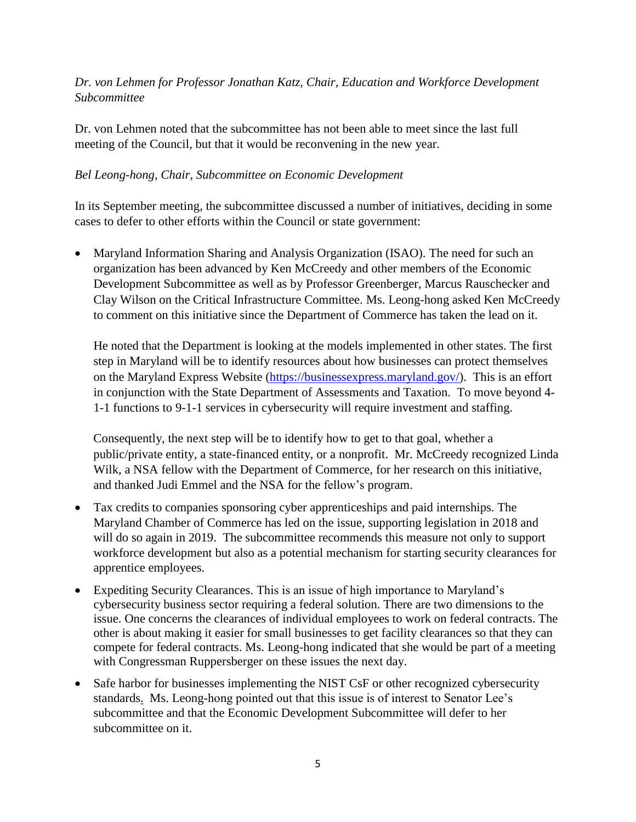# *Dr. von Lehmen for Professor Jonathan Katz, Chair, Education and Workforce Development Subcommittee*

Dr. von Lehmen noted that the subcommittee has not been able to meet since the last full meeting of the Council, but that it would be reconvening in the new year.

## *Bel Leong-hong, Chair, Subcommittee on Economic Development*

In its September meeting, the subcommittee discussed a number of initiatives, deciding in some cases to defer to other efforts within the Council or state government:

• Maryland Information Sharing and Analysis Organization (ISAO). The need for such an organization has been advanced by Ken McCreedy and other members of the Economic Development Subcommittee as well as by Professor Greenberger, Marcus Rauschecker and Clay Wilson on the Critical Infrastructure Committee. Ms. Leong-hong asked Ken McCreedy to comment on this initiative since the Department of Commerce has taken the lead on it.

He noted that the Department is looking at the models implemented in other states. The first step in Maryland will be to identify resources about how businesses can protect themselves on the Maryland Express Website [\(https://businessexpress.maryland.gov/\)](https://businessexpress.maryland.gov/). This is an effort in conjunction with the State Department of Assessments and Taxation. To move beyond 4- 1-1 functions to 9-1-1 services in cybersecurity will require investment and staffing.

Consequently, the next step will be to identify how to get to that goal, whether a public/private entity, a state-financed entity, or a nonprofit. Mr. McCreedy recognized Linda Wilk, a NSA fellow with the Department of Commerce, for her research on this initiative, and thanked Judi Emmel and the NSA for the fellow's program.

- Tax credits to companies sponsoring cyber apprenticeships and paid internships. The Maryland Chamber of Commerce has led on the issue, supporting legislation in 2018 and will do so again in 2019. The subcommittee recommends this measure not only to support workforce development but also as a potential mechanism for starting security clearances for apprentice employees.
- Expediting Security Clearances. This is an issue of high importance to Maryland's cybersecurity business sector requiring a federal solution. There are two dimensions to the issue. One concerns the clearances of individual employees to work on federal contracts. The other is about making it easier for small businesses to get facility clearances so that they can compete for federal contracts. Ms. Leong-hong indicated that she would be part of a meeting with Congressman Ruppersberger on these issues the next day.
- Safe harbor for businesses implementing the NIST CsF or other recognized cybersecurity standards. Ms. Leong-hong pointed out that this issue is of interest to Senator Lee's subcommittee and that the Economic Development Subcommittee will defer to her subcommittee on it.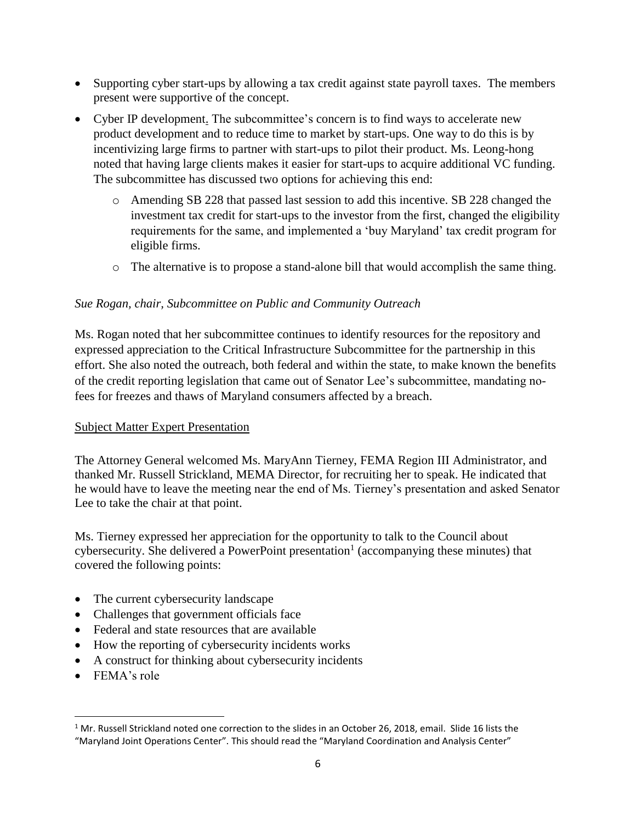- Supporting cyber start-ups by allowing a tax credit against state payroll taxes. The members present were supportive of the concept.
- Cyber IP development. The subcommittee's concern is to find ways to accelerate new product development and to reduce time to market by start-ups. One way to do this is by incentivizing large firms to partner with start-ups to pilot their product. Ms. Leong-hong noted that having large clients makes it easier for start-ups to acquire additional VC funding. The subcommittee has discussed two options for achieving this end:
	- o Amending SB 228 that passed last session to add this incentive. SB 228 changed the investment tax credit for start-ups to the investor from the first, changed the eligibility requirements for the same, and implemented a 'buy Maryland' tax credit program for eligible firms.
	- o The alternative is to propose a stand-alone bill that would accomplish the same thing.

# *Sue Rogan, chair, Subcommittee on Public and Community Outreach*

Ms. Rogan noted that her subcommittee continues to identify resources for the repository and expressed appreciation to the Critical Infrastructure Subcommittee for the partnership in this effort. She also noted the outreach, both federal and within the state, to make known the benefits of the credit reporting legislation that came out of Senator Lee's subcommittee, mandating nofees for freezes and thaws of Maryland consumers affected by a breach.

## Subject Matter Expert Presentation

The Attorney General welcomed Ms. MaryAnn Tierney, FEMA Region III Administrator, and thanked Mr. Russell Strickland, MEMA Director, for recruiting her to speak. He indicated that he would have to leave the meeting near the end of Ms. Tierney's presentation and asked Senator Lee to take the chair at that point.

Ms. Tierney expressed her appreciation for the opportunity to talk to the Council about cybersecurity. She delivered a PowerPoint presentation<sup>1</sup> (accompanying these minutes) that covered the following points:

- The current cybersecurity landscape
- Challenges that government officials face
- Federal and state resources that are available
- How the reporting of cybersecurity incidents works
- A construct for thinking about cybersecurity incidents
- FEMA's role

 $\overline{\phantom{a}}$ 

 $1$  Mr. Russell Strickland noted one correction to the slides in an October 26, 2018, email. Slide 16 lists the "Maryland Joint Operations Center". This should read the "Maryland Coordination and Analysis Center"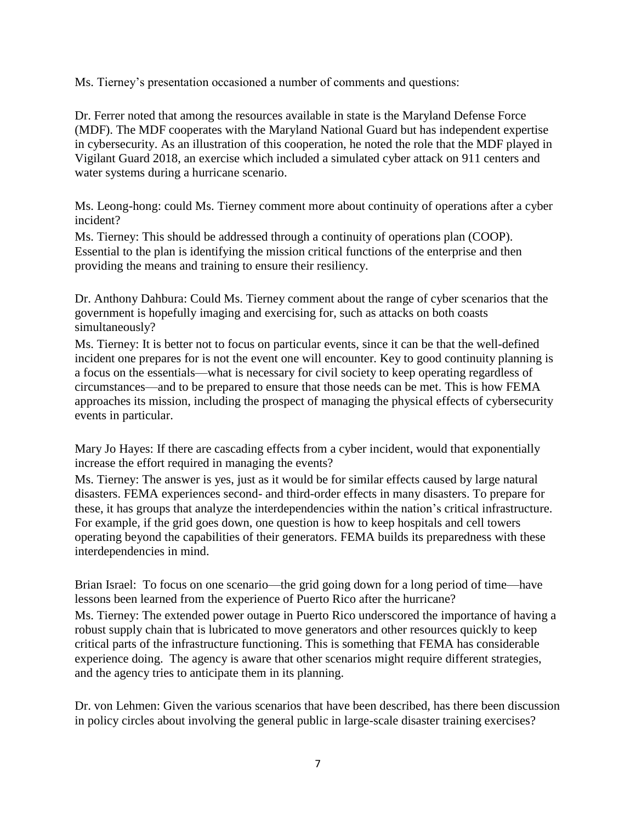Ms. Tierney's presentation occasioned a number of comments and questions:

Dr. Ferrer noted that among the resources available in state is the Maryland Defense Force (MDF). The MDF cooperates with the Maryland National Guard but has independent expertise in cybersecurity. As an illustration of this cooperation, he noted the role that the MDF played in Vigilant Guard 2018, an exercise which included a simulated cyber attack on 911 centers and water systems during a hurricane scenario.

Ms. Leong-hong: could Ms. Tierney comment more about continuity of operations after a cyber incident?

Ms. Tierney: This should be addressed through a continuity of operations plan (COOP). Essential to the plan is identifying the mission critical functions of the enterprise and then providing the means and training to ensure their resiliency.

Dr. Anthony Dahbura: Could Ms. Tierney comment about the range of cyber scenarios that the government is hopefully imaging and exercising for, such as attacks on both coasts simultaneously?

Ms. Tierney: It is better not to focus on particular events, since it can be that the well-defined incident one prepares for is not the event one will encounter. Key to good continuity planning is a focus on the essentials—what is necessary for civil society to keep operating regardless of circumstances—and to be prepared to ensure that those needs can be met. This is how FEMA approaches its mission, including the prospect of managing the physical effects of cybersecurity events in particular.

Mary Jo Hayes: If there are cascading effects from a cyber incident, would that exponentially increase the effort required in managing the events?

Ms. Tierney: The answer is yes, just as it would be for similar effects caused by large natural disasters. FEMA experiences second- and third-order effects in many disasters. To prepare for these, it has groups that analyze the interdependencies within the nation's critical infrastructure. For example, if the grid goes down, one question is how to keep hospitals and cell towers operating beyond the capabilities of their generators. FEMA builds its preparedness with these interdependencies in mind.

Brian Israel: To focus on one scenario—the grid going down for a long period of time—have lessons been learned from the experience of Puerto Rico after the hurricane? Ms. Tierney: The extended power outage in Puerto Rico underscored the importance of having a robust supply chain that is lubricated to move generators and other resources quickly to keep critical parts of the infrastructure functioning. This is something that FEMA has considerable experience doing. The agency is aware that other scenarios might require different strategies, and the agency tries to anticipate them in its planning.

Dr. von Lehmen: Given the various scenarios that have been described, has there been discussion in policy circles about involving the general public in large-scale disaster training exercises?